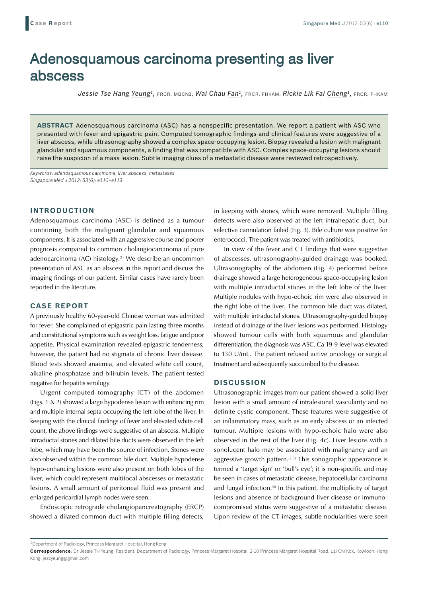# Adenosquamous carcinoma presenting as liver abscess

*Jessie Tse Hang Yeung1,* FRCR, MBChB, *Wai Chau Fan1,* FRCR, FHKAM, *Rickie Lik Fai Cheng1,* FRCR, FHKAM

**ABSTRACT** Adenosquamous carcinoma (ASC) has a nonspecific presentation. We report a patient with ASC who presented with fever and epigastric pain. Computed tomographic findings and clinical features were suggestive of a liver abscess, while ultrasonography showed a complex space-occupying lesion. Biopsy revealed a lesion with malignant glandular and squamous components, a finding that was compatible with ASC. Complex space-occupying lesions should raise the suspicion of a mass lesion. Subtle imaging clues of a metastatic disease were reviewed retrospectively.

*Keywords: adenosquamous carcinoma, liver abscess, metastases Singapore Med J 2012; 53(6): e110–e113*

### **INTRODUCTION**

Adenosquamous carcinoma (ASC) is defined as a tumour containing both the malignant glandular and squamous components. It is associated with an aggressive course and poorer prognosis compared to common cholangiocarcinoma of pure adenocarcinoma (AC) histology.<sup>(1)</sup> We describe an uncommon presentation of ASC as an abscess in this report and discuss the imaging findings of our patient. Similar cases have rarely been reported in the literature.

# **CASE REPORT**

A previously healthy 60-year-old Chinese woman was admitted for fever. She complained of epigastric pain lasting three months and constitutional symptoms such as weight loss, fatigue and poor appetite. Physical examination revealed epigastric tenderness; however, the patient had no stigmata of chronic liver disease. Blood tests showed anaemia, and elevated white cell count, alkaline phosphatase and bilirubin levels. The patient tested negative for hepatitis serology.

Urgent computed tomography (CT) of the abdomen (Figs. 1 & 2) showed a large hypodense lesion with enhancing rim and multiple internal septa occupying the left lobe of the liver. In keeping with the clinical findings of fever and elevated white cell count, the above findings were suggestive of an abscess. Multiple intraductal stones and dilated bile ducts were observed in the left lobe, which may have been the source of infection. Stones were also observed within the common bile duct. Multiple hypodense hypo-enhancing lesions were also present on both lobes of the liver, which could represent multifocal abscesses or metastatic lesions. A small amount of peritoneal fluid was present and enlarged pericardial lymph nodes were seen.

Endoscopic retrograde cholangiopancreatography (ERCP) showed a dilated common duct with multiple filling defects, in keeping with stones, which were removed. Multiple filling defects were also observed at the left intrahepatic duct, but selective cannulation failed (Fig. 3). Bile culture was positive for enterococci. The patient was treated with antibiotics.

In view of the fever and CT findings that were suggestive of abscesses, ultrasonography-guided drainage was booked. Ultrasonography of the abdomen (Fig. 4) performed before drainage showed a large heterogeneous space-occupying lesion with multiple intraductal stones in the left lobe of the liver. Multiple nodules with hypo-echoic rim were also observed in the right lobe of the liver. The common bile duct was dilated, with multiple intraductal stones. Ultrasonography-guided biopsy instead of drainage of the liver lesions was performed. Histology showed tumour cells with both squamous and glandular differentiation; the diagnosis was ASC. Ca 19-9 level was elevated to 130 U/mL. The patient refused active oncology or surgical treatment and subsequently succumbed to the disease.

## **DISCUSSION**

Ultrasonographic images from our patient showed a solid liver lesion with a small amount of intralesional vascularity and no definite cystic component. These features were suggestive of an inflammatory mass, such as an early abscess or an infected tumour. Multiple lesions with hypo-echoic halo were also observed in the rest of the liver (Fig. 4c). Liver lesions with a sonolucent halo may be associated with malignancy and an aggressive growth pattern. $(2,3)$  This sonographic appearance is termed a 'target sign' or 'bull's eye'; it is non-specific and may be seen in cases of metastatic disease, hepatocellular carcinoma and fungal infection.<sup>(4)</sup> In this patient, the multiplicity of target lesions and absence of background liver disease or immunocompromised status were suggestive of a metastatic disease. Upon review of the CT images, subtle nodularities were seen

 $^{\rm 1}$ Department of Radiology, Princess Margaret Hospital, Hong Kong

**Correspondence**: Dr Jessie TH Yeung, Resident, Department of Radiology, Princess Margaret Hospital, 2-10 Princess Margaret Hospital Road, Lai Chi Kok, Kowloon, Hong Kong. jezzyeung@gmail.com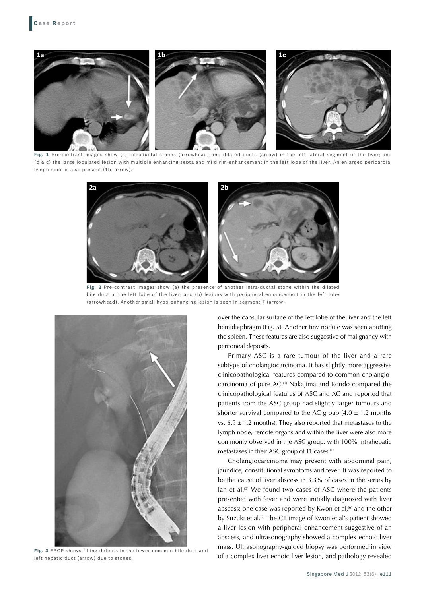

**Fig. 1** Pre-contrast images show (a) intraductal stones (arrowhead) and dilated ducts (arrow) in the left lateral segment of the liver; and (b & c) the large lobulated lesion with multiple enhancing septa and mild rim-enhancement in the left lobe of the liver. An enlarged pericardial lymph node is also present (1b, arrow).



**Fig. 2** Pre-contrast images show (a) the presence of another intra-ductal stone within the dilated bile duct in the left lobe of the liver; and (b) lesions with peripheral enhancement in the left lobe (arrowhead). Another small hypo-enhancing lesion is seen in segment 7 (arrow).



**Fig. 3** ERCP shows filling defects in the lower common bile duct and left hepatic duct (arrow) due to stones.

over the capsular surface of the left lobe of the liver and the left hemidiaphragm (Fig. 5). Another tiny nodule was seen abutting the spleen. These features are also suggestive of malignancy with peritoneal deposits.

Primary ASC is a rare tumour of the liver and a rare subtype of cholangiocarcinoma. It has slightly more aggressive clinicopathological features compared to common cholangiocarcinoma of pure AC.(1) Nakajima and Kondo compared the clinicopathological features of ASC and AC and reported that patients from the ASC group had slightly larger tumours and shorter survival compared to the AC group  $(4.0 \pm 1.2 \text{ months})$ vs.  $6.9 \pm 1.2$  months). They also reported that metastases to the lymph node, remote organs and within the liver were also more commonly observed in the ASC group, with 100% intrahepatic metastases in their ASC group of 11 cases.(1)

Cholangiocarcinoma may present with abdominal pain, jaundice, constitutional symptoms and fever. It was reported to be the cause of liver abscess in 3.3% of cases in the series by Jan et al.(5) We found two cases of ASC where the patients presented with fever and were initially diagnosed with liver abscess; one case was reported by Kwon et al. $^{(6)}$  and the other by Suzuki et al.<sup>(7)</sup> The CT image of Kwon et al's patient showed a liver lesion with peripheral enhancement suggestive of an abscess, and ultrasonography showed a complex echoic liver mass. Ultrasonography-guided biopsy was performed in view of a complex liver echoic liver lesion, and pathology revealed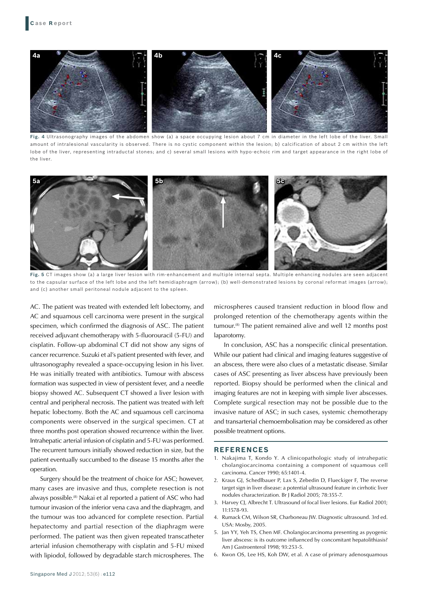

**Fig. 4** Ultrasonography images of the abdomen show (a) a space occupying lesion about 7 cm in diameter in the left lobe of the liver. Small amount of intralesional vascularity is observed. There is no cystic component within the lesion; b) calcification of about 2 cm within the left lobe of the liver, representing intraductal stones; and c) several small lesions with hypo-echoic rim and target appearance in the right lobe of the liver.



**Fig. 5** CT images show (a) a large liver lesion with rim-enhancement and multiple internal septa. Multiple enhancing nodules are seen adjacent to the capsular surface of the left lobe and the left hemidiaphragm (arrow); (b) well-demonstrated lesions by coronal reformat images (arrow); and (c) another small peritoneal nodule adjacent to the spleen.

AC. The patient was treated with extended left lobectomy, and AC and squamous cell carcinoma were present in the surgical specimen, which confirmed the diagnosis of ASC. The patient received adjuvant chemotherapy with 5-fluorouracil (5-FU) and cisplatin. Follow-up abdominal CT did not show any signs of cancer recurrence. Suzuki et al's patient presented with fever, and ultrasonography revealed a space-occupying lesion in his liver. He was initially treated with antibiotics. Tumour with abscess formation was suspected in view of persistent fever, and a needle biopsy showed AC. Subsequent CT showed a liver lesion with central and peripheral necrosis. The patient was treated with left hepatic lobectomy. Both the AC and squamous cell carcinoma components were observed in the surgical specimen. CT at three months post operation showed recurrence within the liver. Intrahepatic arterial infusion of cisplatin and 5-FU was performed. The recurrent tumours initially showed reduction in size, but the patient eventually succumbed to the disease 15 months after the operation.

Surgery should be the treatment of choice for ASC; however, many cases are invasive and thus, complete resection is not always possible.(8) Nakai et al reported a patient of ASC who had tumour invasion of the inferior vena cava and the diaphragm, and the tumour was too advanced for complete resection. Partial hepatectomy and partial resection of the diaphragm were performed. The patient was then given repeated transcatheter arterial infusion chemotherapy with cisplatin and 5-FU mixed with lipiodol, followed by degradable starch microspheres. The

microspheres caused transient reduction in blood flow and prolonged retention of the chemotherapy agents within the tumour.<sup>(8)</sup> The patient remained alive and well 12 months post laparotomy.

In conclusion, ASC has a nonspecific clinical presentation. While our patient had clinical and imaging features suggestive of an abscess, there were also clues of a metastatic disease. Similar cases of ASC presenting as liver abscess have previously been reported. Biopsy should be performed when the clinical and imaging features are not in keeping with simple liver abscesses. Complete surgical resection may not be possible due to the invasive nature of ASC; in such cases, systemic chemotherapy and transarterial chemoembolisation may be considered as other possible treatment options.

#### **REFERENCES**

- 1. Nakajima T, Kondo Y. A clinicopathologic study of intrahepatic cholangiocarcinoma containing a component of squamous cell carcinoma. Cancer 1990; 65:1401-4.
- 2. Kraus GJ, Schedlbauer P, Lax S, Zebedin D, Flueckiger F, The reverse target sign in liver disease: a potential ultrasound feature in cirrhotic liver nodules characterization. Br J Radiol 2005; 78:355-7.
- 3. Harvey CJ, Albrecht T. Ultrasound of focal liver lesions. Eur Radiol 2001; 11:1578-93.
- 4. Rumack CM, Wilson SR, Charboneau JW. Diagnostic ultrasound. 3rd ed. USA: Mosby, 2005.
- 5. Jan YY, Yeh TS, Chen MF. Cholangiocarcinoma presenting as pyogenic liver abscess: is its outcome influenced by concomitant hepatolithiasis? Am J Gastroenterol 1998; 93:253-5.
- 6. Kwon OS, Lee HS, Koh DW, et al. A case of primary adenosquamous